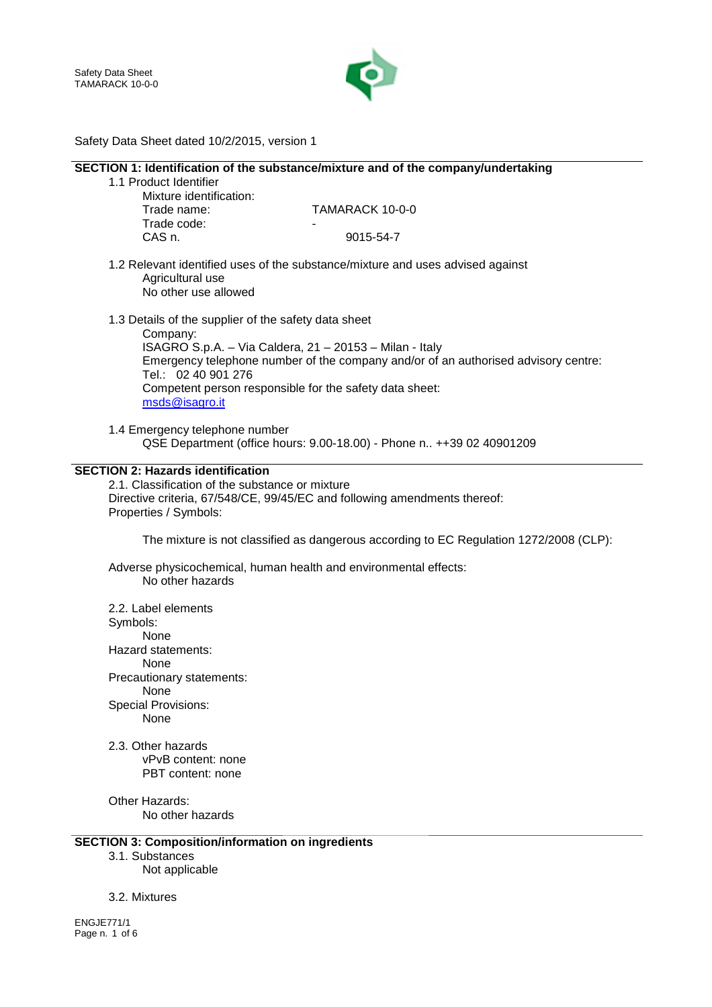

# Safety Data Sheet dated 10/2/2015, version 1

|                                                          | SECTION 1: Identification of the substance/mixture and of the company/undertaking                                                             |
|----------------------------------------------------------|-----------------------------------------------------------------------------------------------------------------------------------------------|
| 1.1 Product Identifier                                   |                                                                                                                                               |
| Mixture identification:                                  |                                                                                                                                               |
| Trade name:                                              | TAMARACK 10-0-0                                                                                                                               |
|                                                          |                                                                                                                                               |
| Trade code:                                              |                                                                                                                                               |
| CAS n.                                                   | 9015-54-7                                                                                                                                     |
| Agricultural use<br>No other use allowed                 | 1.2 Relevant identified uses of the substance/mixture and uses advised against                                                                |
| 1.3 Details of the supplier of the safety data sheet     |                                                                                                                                               |
| Company:                                                 |                                                                                                                                               |
| Tel.: 02 40 901 276                                      | ISAGRO S.p.A. - Via Caldera, 21 - 20153 - Milan - Italy<br>Emergency telephone number of the company and/or of an authorised advisory centre: |
| msds@isagro.it                                           | Competent person responsible for the safety data sheet:                                                                                       |
|                                                          |                                                                                                                                               |
| 1.4 Emergency telephone number                           | QSE Department (office hours: 9.00-18.00) - Phone n., ++39 02 40901209                                                                        |
|                                                          |                                                                                                                                               |
| <b>SECTION 2: Hazards identification</b>                 |                                                                                                                                               |
| 2.1. Classification of the substance or mixture          |                                                                                                                                               |
|                                                          | Directive criteria, 67/548/CE, 99/45/EC and following amendments thereof:                                                                     |
| Properties / Symbols:                                    |                                                                                                                                               |
|                                                          |                                                                                                                                               |
|                                                          | The mixture is not classified as dangerous according to EC Regulation 1272/2008 (CLP):                                                        |
| No other hazards                                         | Adverse physicochemical, human health and environmental effects:                                                                              |
| 2.2. Label elements                                      |                                                                                                                                               |
| Symbols:                                                 |                                                                                                                                               |
| None                                                     |                                                                                                                                               |
|                                                          |                                                                                                                                               |
| Hazard statements:                                       |                                                                                                                                               |
| None                                                     |                                                                                                                                               |
| Precautionary statements:                                |                                                                                                                                               |
| None                                                     |                                                                                                                                               |
| <b>Special Provisions:</b>                               |                                                                                                                                               |
| None                                                     |                                                                                                                                               |
| 2.3. Other hazards                                       |                                                                                                                                               |
| vPvB content: none                                       |                                                                                                                                               |
| PBT content: none                                        |                                                                                                                                               |
|                                                          |                                                                                                                                               |
| Other Hazards:                                           |                                                                                                                                               |
| No other hazards                                         |                                                                                                                                               |
|                                                          |                                                                                                                                               |
| <b>SECTION 3: Composition/information on ingredients</b> |                                                                                                                                               |
| 3.1. Substances                                          |                                                                                                                                               |
| Not applicable                                           |                                                                                                                                               |
|                                                          |                                                                                                                                               |
| 3.2. Mixtures                                            |                                                                                                                                               |

ENGJE771/1 Page n. 1 of 6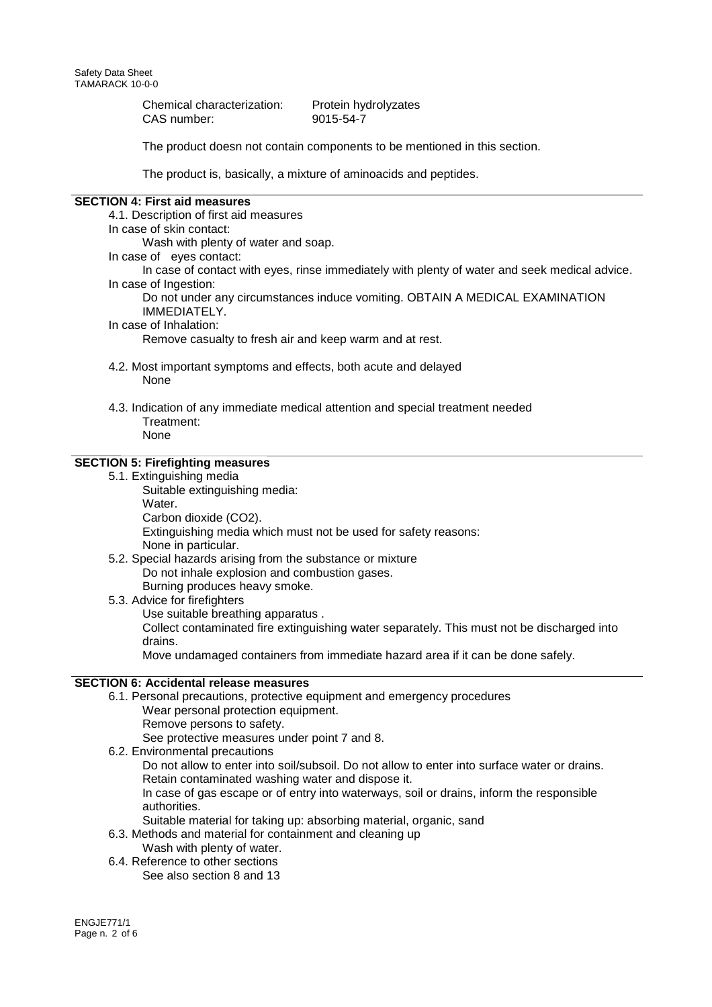Chemical characterization: Protein hydrolyzates CAS number: 9015-54-7

The product doesn not contain components to be mentioned in this section.

The product is, basically, a mixture of aminoacids and peptides.

#### **SECTION 4: First aid measures**

4.1. Description of first aid measures

In case of skin contact:

Wash with plenty of water and soap.

- In case of eyes contact:
- In case of contact with eyes, rinse immediately with plenty of water and seek medical advice. In case of Ingestion:

Do not under any circumstances induce vomiting. OBTAIN A MEDICAL EXAMINATION IMMEDIATELY.

#### In case of Inhalation:

Remove casualty to fresh air and keep warm and at rest.

- 4.2. Most important symptoms and effects, both acute and delayed **None**
- 4.3. Indication of any immediate medical attention and special treatment needed Treatment:
	- None

# **SECTION 5: Firefighting measures**

5.1. Extinguishing media Suitable extinguishing media: Water.

Carbon dioxide (CO2). Extinguishing media which must not be used for safety reasons: None in particular.

- 5.2. Special hazards arising from the substance or mixture Do not inhale explosion and combustion gases. Burning produces heavy smoke.
- 5.3. Advice for firefighters Use suitable breathing apparatus . Collect contaminated fire extinguishing water separately. This must not be discharged into drains. Move undamaged containers from immediate hazard area if it can be done safely.

## **SECTION 6: Accidental release measures**

6.1. Personal precautions, protective equipment and emergency procedures Wear personal protection equipment. Remove persons to safety.

See protective measures under point 7 and 8.

6.2. Environmental precautions

Do not allow to enter into soil/subsoil. Do not allow to enter into surface water or drains. Retain contaminated washing water and dispose it.

In case of gas escape or of entry into waterways, soil or drains, inform the responsible authorities.

- Suitable material for taking up: absorbing material, organic, sand
- 6.3. Methods and material for containment and cleaning up
- Wash with plenty of water. 6.4. Reference to other sections
	- See also section 8 and 13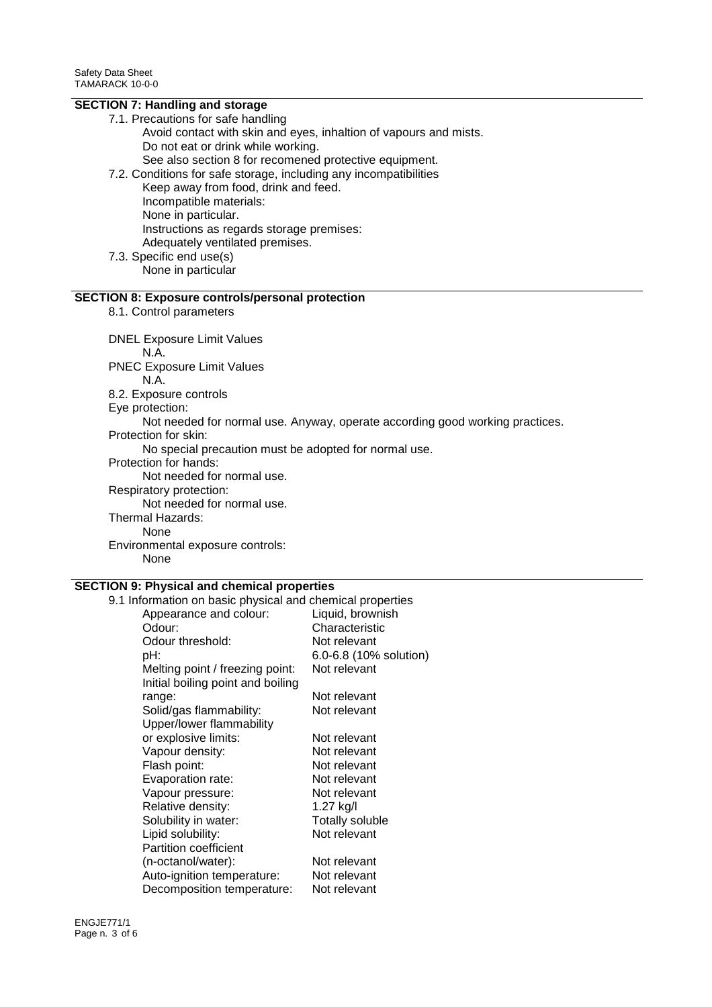# **SECTION 7: Handling and storage**

- 7.1. Precautions for safe handling Avoid contact with skin and eyes, inhaltion of vapours and mists. Do not eat or drink while working. See also section 8 for recomened protective equipment.
- 7.2. Conditions for safe storage, including any incompatibilities Keep away from food, drink and feed. Incompatible materials: None in particular. Instructions as regards storage premises: Adequately ventilated premises.
- 7.3. Specific end use(s) None in particular

#### **SECTION 8: Exposure controls/personal protection**

8.1. Control parameters

DNEL Exposure Limit Values

N.A.

PNEC Exposure Limit Values N.A.

8.2. Exposure controls

Eye protection:

Not needed for normal use. Anyway, operate according good working practices.

Protection for skin:

No special precaution must be adopted for normal use.

Protection for hands:

Not needed for normal use.

Respiratory protection:

Not needed for normal use.

Thermal Hazards:

None

Environmental exposure controls: None

# **SECTION 9: Physical and chemical properties**

9.1 Information on basic physical and chemical properties Appearance and colour: Liquid, brownish Odour: Characteristic Odour threshold: Not relevant pH: 6.0-6.8 (10% solution) Melting point / freezing point: Not relevant Initial boiling point and boiling range: Not relevant Solid/gas flammability: Not relevant Upper/lower flammability or explosive limits: Not relevant Vapour density: Not relevant Flash point: Not relevant Evaporation rate: Not relevant Vapour pressure: Not relevant Relative density: 1.27 kg/l Solubility in water: Totally soluble<br>
Solubility: The Not relevant Lipid solubility: Partition coefficient (n-octanol/water): Not relevant Auto-ignition temperature: Not relevant Decomposition temperature: Not relevant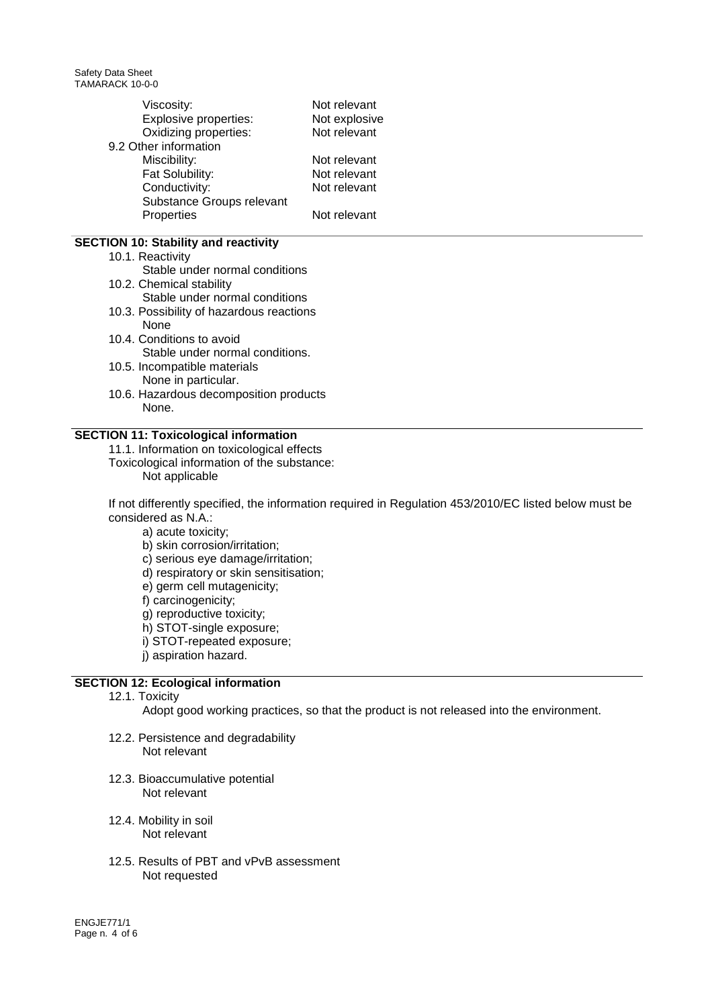Safety Data Sheet TAMARACK 10-0-0

| Viscosity:<br>Explosive properties:<br>Oxidizing properties: | Not relevant<br>Not explosive<br>Not relevant |
|--------------------------------------------------------------|-----------------------------------------------|
| 9.2 Other information                                        |                                               |
| Miscibility:                                                 | Not relevant                                  |
| Fat Solubility:                                              | Not relevant                                  |
| Conductivity:                                                | Not relevant                                  |
| Substance Groups relevant                                    |                                               |
| Properties                                                   | Not relevant                                  |
|                                                              |                                               |

## **SECTION 10: Stability and reactivity**

- 10.1. Reactivity
- Stable under normal conditions
- 10.2. Chemical stability
- Stable under normal conditions
- 10.3. Possibility of hazardous reactions None
- 10.4. Conditions to avoid Stable under normal conditions.
- 10.5. Incompatible materials None in particular.
- 10.6. Hazardous decomposition products None.

## **SECTION 11: Toxicological information**

- 11.1. Information on toxicological effects
- Toxicological information of the substance: Not applicable

If not differently specified, the information required in Regulation 453/2010/EC listed below must be considered as N.A.:

- a) acute toxicity;
- b) skin corrosion/irritation;
- c) serious eye damage/irritation;
- d) respiratory or skin sensitisation;
- e) germ cell mutagenicity;
- f) carcinogenicity;
- g) reproductive toxicity;
- h) STOT-single exposure;
- i) STOT-repeated exposure;
- j) aspiration hazard.

## **SECTION 12: Ecological information**

12.1. Toxicity

Adopt good working practices, so that the product is not released into the environment.

- 12.2. Persistence and degradability Not relevant
- 12.3. Bioaccumulative potential Not relevant
- 12.4. Mobility in soil Not relevant
- 12.5. Results of PBT and vPvB assessment Not requested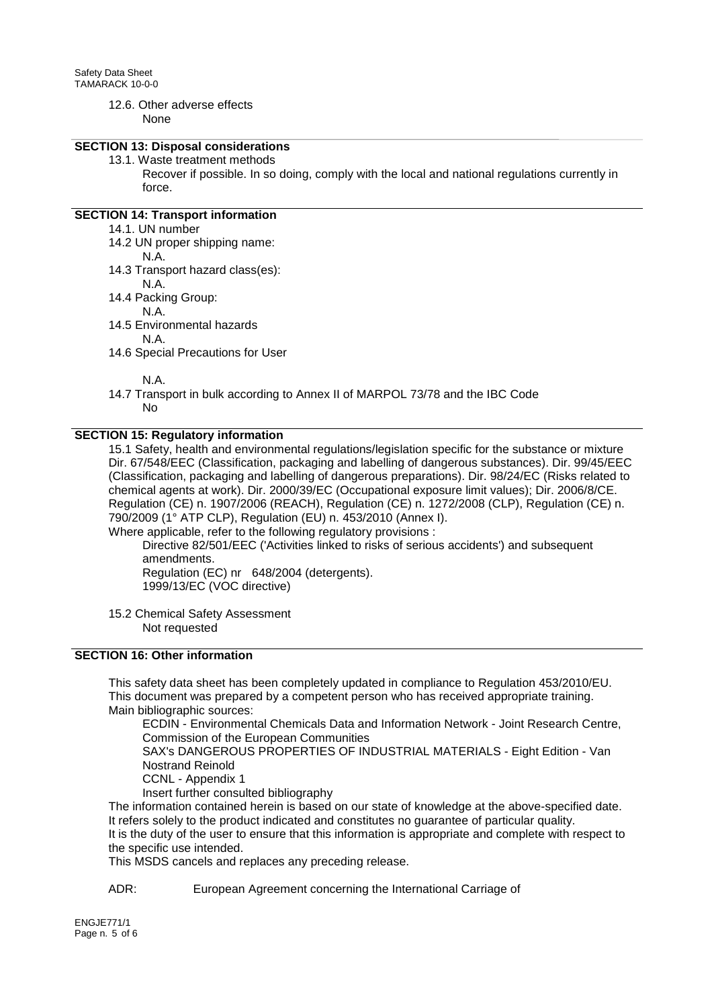# 12.6. Other adverse effects

None

## **SECTION 13: Disposal considerations**

13.1. Waste treatment methods

Recover if possible. In so doing, comply with the local and national regulations currently in force.

## **SECTION 14: Transport information**

- 14.1. UN number
- 14.2 UN proper shipping name:
	- N.A.
- 14.3 Transport hazard class(es):
	- N.A.
- 14.4 Packing Group:
	- N.A.
- 14.5 Environmental hazards

N.A.

14.6 Special Precautions for User

N.A.

14.7 Transport in bulk according to Annex II of MARPOL 73/78 and the IBC Code No

#### **SECTION 15: Regulatory information**

15.1 Safety, health and environmental regulations/legislation specific for the substance or mixture Dir. 67/548/EEC (Classification, packaging and labelling of dangerous substances). Dir. 99/45/EEC (Classification, packaging and labelling of dangerous preparations). Dir. 98/24/EC (Risks related to chemical agents at work). Dir. 2000/39/EC (Occupational exposure limit values); Dir. 2006/8/CE. Regulation (CE) n. 1907/2006 (REACH), Regulation (CE) n. 1272/2008 (CLP), Regulation (CE) n. 790/2009 (1° ATP CLP), Regulation (EU) n. 453/2010 (Annex I).

Where applicable, refer to the following regulatory provisions :

Directive 82/501/EEC ('Activities linked to risks of serious accidents') and subsequent amendments.

Regulation (EC) nr 648/2004 (detergents). 1999/13/EC (VOC directive)

15.2 Chemical Safety Assessment Not requested

#### **SECTION 16: Other information**

This safety data sheet has been completely updated in compliance to Regulation 453/2010/EU. This document was prepared by a competent person who has received appropriate training. Main bibliographic sources:

ECDIN - Environmental Chemicals Data and Information Network - Joint Research Centre, Commission of the European Communities

SAX's DANGEROUS PROPERTIES OF INDUSTRIAL MATERIALS - Eight Edition - Van Nostrand Reinold

CCNL - Appendix 1

Insert further consulted bibliography

The information contained herein is based on our state of knowledge at the above-specified date. It refers solely to the product indicated and constitutes no guarantee of particular quality.

It is the duty of the user to ensure that this information is appropriate and complete with respect to the specific use intended.

This MSDS cancels and replaces any preceding release.

ADR: European Agreement concerning the International Carriage of

ENGJE771/1 Page n. 5 of 6